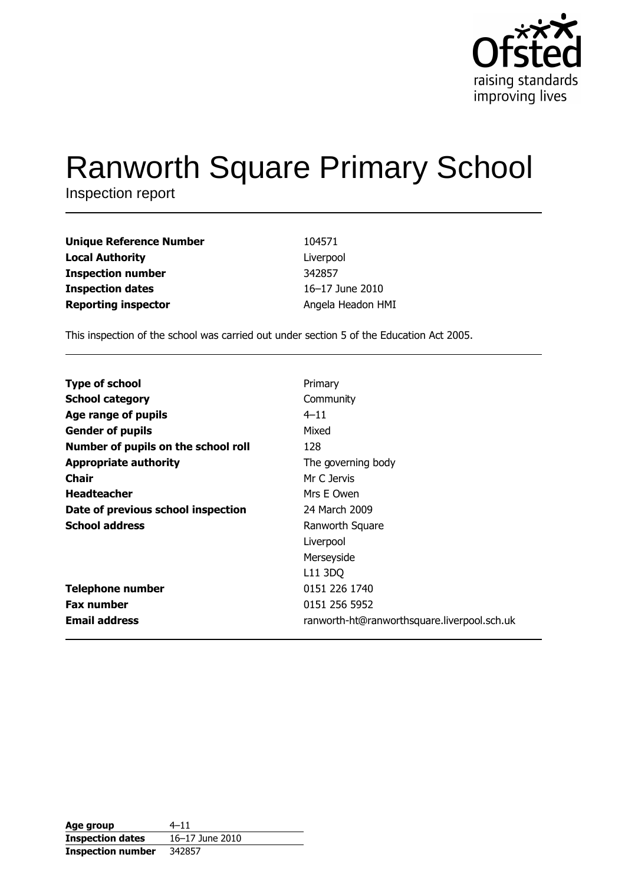

# **Ranworth Square Primary School**

Inspection report

| Unique Reference Number    | 104571            |
|----------------------------|-------------------|
| Local Authority            | Liverpool         |
| Inspection number          | 342857            |
| <b>Inspection dates</b>    | 16-17 June 2010   |
| <b>Reporting inspector</b> | Angela Headon HMI |

This inspection of the school was carried out under section 5 of the Education Act 2005.

| <b>Type of school</b>               | Primary                                     |
|-------------------------------------|---------------------------------------------|
| <b>School category</b>              | Community                                   |
| Age range of pupils                 | $4 - 11$                                    |
| <b>Gender of pupils</b>             | Mixed                                       |
| Number of pupils on the school roll | 128                                         |
| <b>Appropriate authority</b>        | The governing body                          |
| <b>Chair</b>                        | Mr C Jervis                                 |
| <b>Headteacher</b>                  | Mrs E Owen                                  |
| Date of previous school inspection  | 24 March 2009                               |
| <b>School address</b>               | Ranworth Square                             |
|                                     | Liverpool                                   |
|                                     | Merseyside                                  |
|                                     | L11 3DQ                                     |
| <b>Telephone number</b>             | 0151 226 1740                               |
| <b>Fax number</b>                   | 0151 256 5952                               |
| <b>Email address</b>                | ranworth-ht@ranworthsquare.liverpool.sch.uk |

| Age group                | $4 - 11$        |
|--------------------------|-----------------|
| <b>Inspection dates</b>  | 16-17 June 2010 |
| <b>Inspection number</b> | 342857          |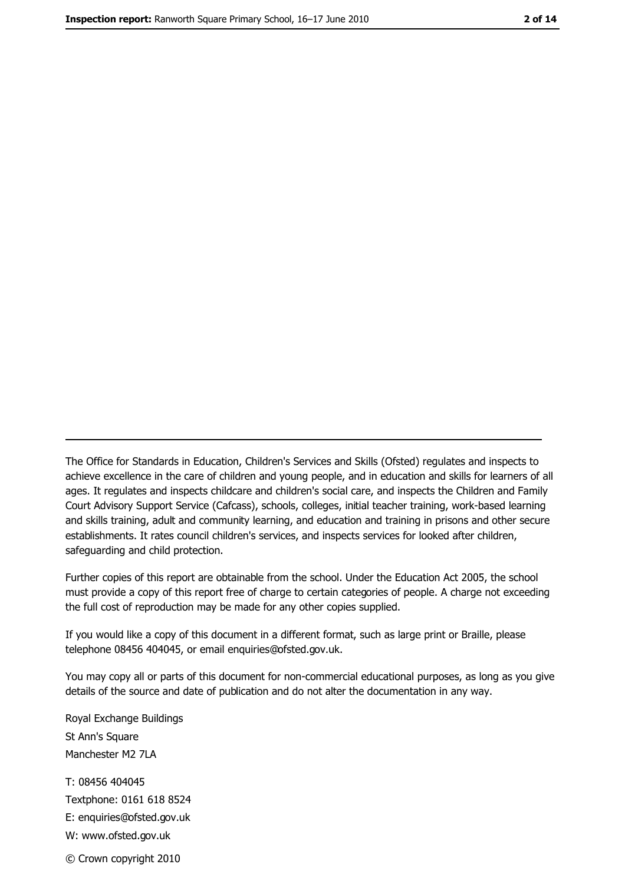The Office for Standards in Education, Children's Services and Skills (Ofsted) regulates and inspects to achieve excellence in the care of children and young people, and in education and skills for learners of all ages. It regulates and inspects childcare and children's social care, and inspects the Children and Family Court Advisory Support Service (Cafcass), schools, colleges, initial teacher training, work-based learning and skills training, adult and community learning, and education and training in prisons and other secure establishments. It rates council children's services, and inspects services for looked after children, safequarding and child protection.

Further copies of this report are obtainable from the school. Under the Education Act 2005, the school must provide a copy of this report free of charge to certain categories of people. A charge not exceeding the full cost of reproduction may be made for any other copies supplied.

If you would like a copy of this document in a different format, such as large print or Braille, please telephone 08456 404045, or email enquiries@ofsted.gov.uk.

You may copy all or parts of this document for non-commercial educational purposes, as long as you give details of the source and date of publication and do not alter the documentation in any way.

Royal Exchange Buildings St Ann's Square Manchester M2 7LA T: 08456 404045 Textphone: 0161 618 8524 E: enquiries@ofsted.gov.uk W: www.ofsted.gov.uk © Crown copyright 2010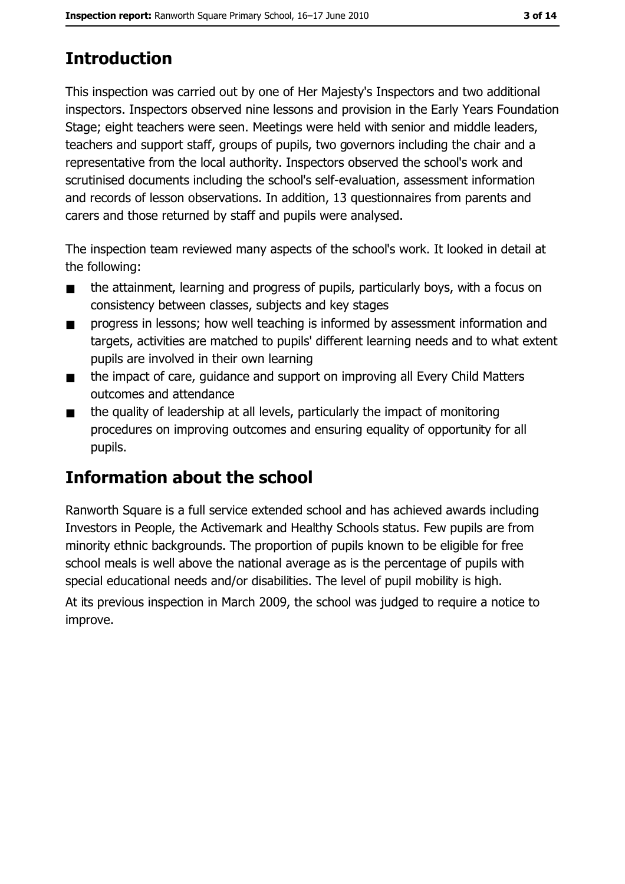# **Introduction**

This inspection was carried out by one of Her Majesty's Inspectors and two additional inspectors. Inspectors observed nine lessons and provision in the Early Years Foundation Stage; eight teachers were seen. Meetings were held with senior and middle leaders, teachers and support staff, groups of pupils, two governors including the chair and a representative from the local authority. Inspectors observed the school's work and scrutinised documents including the school's self-evaluation, assessment information and records of lesson observations. In addition, 13 questionnaires from parents and carers and those returned by staff and pupils were analysed.

The inspection team reviewed many aspects of the school's work. It looked in detail at the following:

- the attainment, learning and progress of pupils, particularly boys, with a focus on  $\blacksquare$ consistency between classes, subjects and key stages
- progress in lessons; how well teaching is informed by assessment information and  $\blacksquare$ targets, activities are matched to pupils' different learning needs and to what extent pupils are involved in their own learning
- the impact of care, quidance and support on improving all Every Child Matters  $\blacksquare$ outcomes and attendance
- the quality of leadership at all levels, particularly the impact of monitoring  $\blacksquare$ procedures on improving outcomes and ensuring equality of opportunity for all pupils.

# Information about the school

Ranworth Square is a full service extended school and has achieved awards including Investors in People, the Activemark and Healthy Schools status. Few pupils are from minority ethnic backgrounds. The proportion of pupils known to be eligible for free school meals is well above the national average as is the percentage of pupils with special educational needs and/or disabilities. The level of pupil mobility is high.

At its previous inspection in March 2009, the school was judged to require a notice to improve.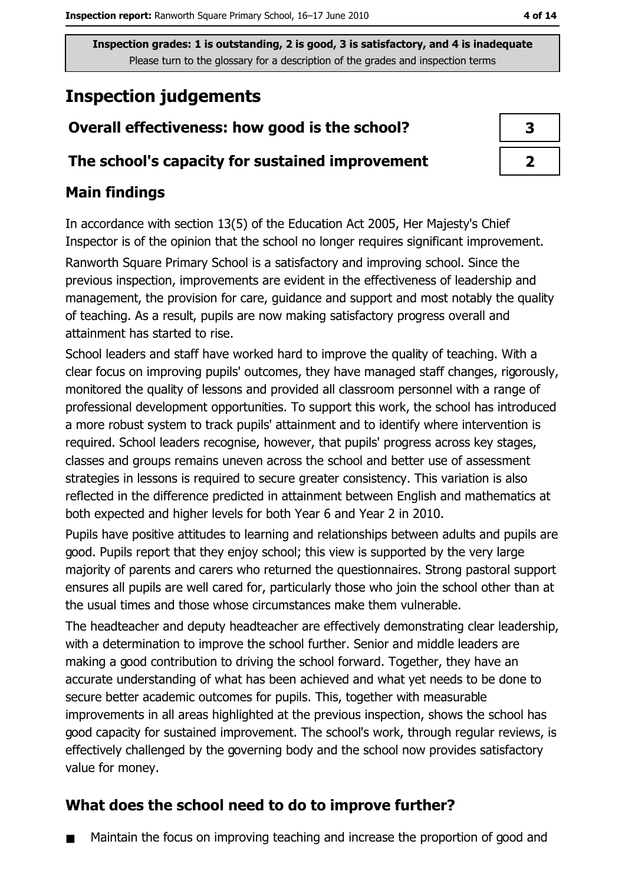# **Inspection judgements**

## Overall effectiveness: how good is the school?

#### The school's capacity for sustained improvement

## **Main findings**

In accordance with section 13(5) of the Education Act 2005, Her Majesty's Chief Inspector is of the opinion that the school no longer requires significant improvement. Ranworth Square Primary School is a satisfactory and improving school. Since the previous inspection, improvements are evident in the effectiveness of leadership and management, the provision for care, guidance and support and most notably the quality of teaching. As a result, pupils are now making satisfactory progress overall and attainment has started to rise.

School leaders and staff have worked hard to improve the quality of teaching. With a clear focus on improving pupils' outcomes, they have managed staff changes, rigorously, monitored the quality of lessons and provided all classroom personnel with a range of professional development opportunities. To support this work, the school has introduced a more robust system to track pupils' attainment and to identify where intervention is required. School leaders recognise, however, that pupils' progress across key stages, classes and groups remains uneven across the school and better use of assessment strategies in lessons is required to secure greater consistency. This variation is also reflected in the difference predicted in attainment between English and mathematics at both expected and higher levels for both Year 6 and Year 2 in 2010.

Pupils have positive attitudes to learning and relationships between adults and pupils are good. Pupils report that they enjoy school; this view is supported by the very large majority of parents and carers who returned the questionnaires. Strong pastoral support ensures all pupils are well cared for, particularly those who join the school other than at the usual times and those whose circumstances make them vulnerable.

The headteacher and deputy headteacher are effectively demonstrating clear leadership, with a determination to improve the school further. Senior and middle leaders are making a good contribution to driving the school forward. Together, they have an accurate understanding of what has been achieved and what yet needs to be done to secure better academic outcomes for pupils. This, together with measurable improvements in all areas highlighted at the previous inspection, shows the school has good capacity for sustained improvement. The school's work, through regular reviews, is effectively challenged by the governing body and the school now provides satisfactory value for monev.

# What does the school need to do to improve further?

Maintain the focus on improving teaching and increase the proportion of good and  $\blacksquare$ 

| З |  |
|---|--|
|   |  |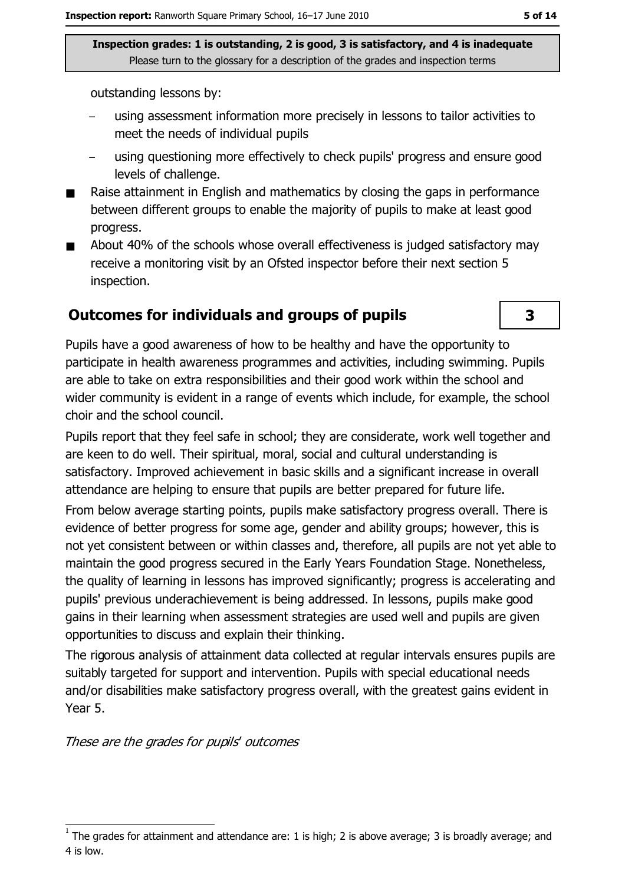outstanding lessons by:

- using assessment information more precisely in lessons to tailor activities to meet the needs of individual pupils
- using questioning more effectively to check pupils' progress and ensure good levels of challenge.
- Raise attainment in English and mathematics by closing the gaps in performance between different groups to enable the majority of pupils to make at least good progress.
- About 40% of the schools whose overall effectiveness is judged satisfactory may  $\blacksquare$ receive a monitoring visit by an Ofsted inspector before their next section 5 inspection.

#### **Outcomes for individuals and groups of pupils**

Pupils have a good awareness of how to be healthy and have the opportunity to participate in health awareness programmes and activities, including swimming. Pupils are able to take on extra responsibilities and their good work within the school and wider community is evident in a range of events which include, for example, the school choir and the school council.

Pupils report that they feel safe in school; they are considerate, work well together and are keen to do well. Their spiritual, moral, social and cultural understanding is satisfactory. Improved achievement in basic skills and a significant increase in overall attendance are helping to ensure that pupils are better prepared for future life.

From below average starting points, pupils make satisfactory progress overall. There is evidence of better progress for some age, gender and ability groups; however, this is not yet consistent between or within classes and, therefore, all pupils are not yet able to maintain the good progress secured in the Early Years Foundation Stage. Nonetheless, the quality of learning in lessons has improved significantly; progress is accelerating and pupils' previous underachievement is being addressed. In lessons, pupils make good gains in their learning when assessment strategies are used well and pupils are given opportunities to discuss and explain their thinking.

The rigorous analysis of attainment data collected at regular intervals ensures pupils are suitably targeted for support and intervention. Pupils with special educational needs and/or disabilities make satisfactory progress overall, with the greatest gains evident in Year 5.

These are the grades for pupils' outcomes

 $\overline{\mathbf{3}}$ 

The grades for attainment and attendance are: 1 is high; 2 is above average; 3 is broadly average; and 4 is low.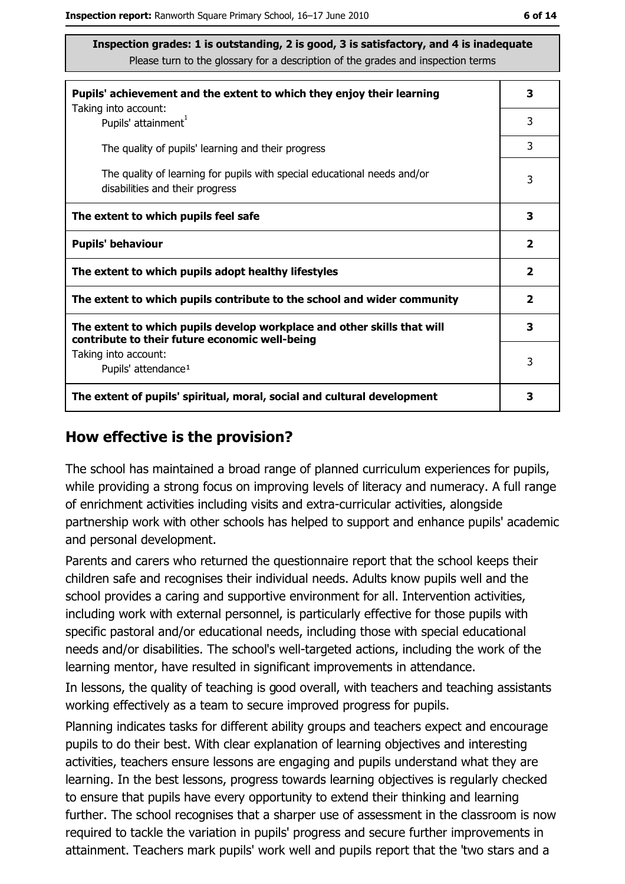| Pupils' achievement and the extent to which they enjoy their learning                                                     |                         |  |  |
|---------------------------------------------------------------------------------------------------------------------------|-------------------------|--|--|
| Taking into account:<br>Pupils' attainment <sup>1</sup>                                                                   | 3                       |  |  |
| The quality of pupils' learning and their progress                                                                        | 3                       |  |  |
| The quality of learning for pupils with special educational needs and/or<br>disabilities and their progress               |                         |  |  |
| The extent to which pupils feel safe                                                                                      | 3                       |  |  |
| <b>Pupils' behaviour</b>                                                                                                  | $\overline{\mathbf{2}}$ |  |  |
| The extent to which pupils adopt healthy lifestyles                                                                       |                         |  |  |
| The extent to which pupils contribute to the school and wider community                                                   |                         |  |  |
| The extent to which pupils develop workplace and other skills that will<br>contribute to their future economic well-being |                         |  |  |
| Taking into account:<br>Pupils' attendance <sup>1</sup>                                                                   | 3                       |  |  |
| The extent of pupils' spiritual, moral, social and cultural development                                                   |                         |  |  |

#### How effective is the provision?

The school has maintained a broad range of planned curriculum experiences for pupils, while providing a strong focus on improving levels of literacy and numeracy. A full range of enrichment activities including visits and extra-curricular activities, alongside partnership work with other schools has helped to support and enhance pupils' academic and personal development.

Parents and carers who returned the questionnaire report that the school keeps their children safe and recognises their individual needs. Adults know pupils well and the school provides a caring and supportive environment for all. Intervention activities, including work with external personnel, is particularly effective for those pupils with specific pastoral and/or educational needs, including those with special educational needs and/or disabilities. The school's well-targeted actions, including the work of the learning mentor, have resulted in significant improvements in attendance.

In lessons, the quality of teaching is good overall, with teachers and teaching assistants working effectively as a team to secure improved progress for pupils.

Planning indicates tasks for different ability groups and teachers expect and encourage pupils to do their best. With clear explanation of learning objectives and interesting activities, teachers ensure lessons are engaging and pupils understand what they are learning. In the best lessons, progress towards learning objectives is regularly checked to ensure that pupils have every opportunity to extend their thinking and learning further. The school recognises that a sharper use of assessment in the classroom is now required to tackle the variation in pupils' progress and secure further improvements in attainment. Teachers mark pupils' work well and pupils report that the 'two stars and a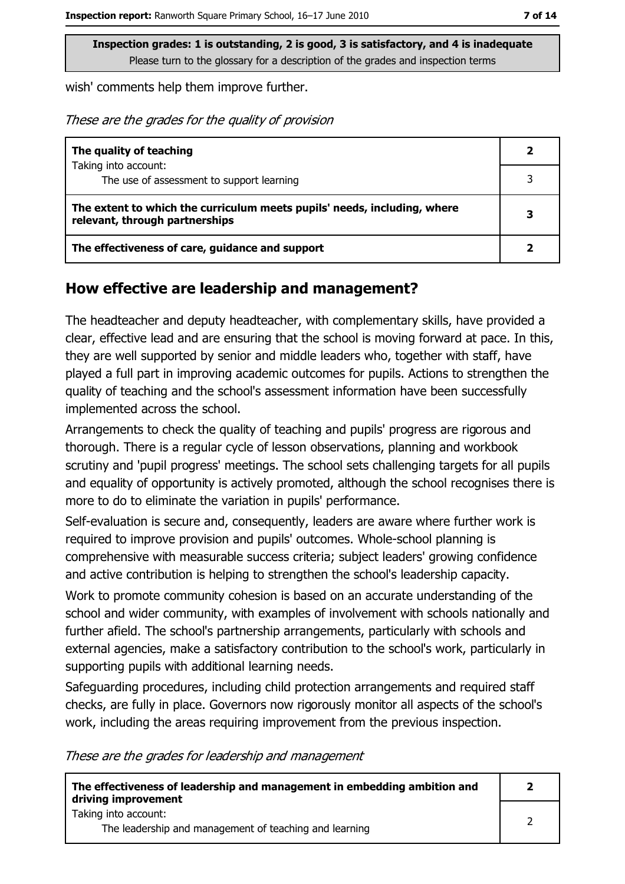wish' comments help them improve further.

These are the grades for the quality of provision

| The quality of teaching                                                                                    |   |
|------------------------------------------------------------------------------------------------------------|---|
| Taking into account:                                                                                       |   |
| The use of assessment to support learning                                                                  |   |
| The extent to which the curriculum meets pupils' needs, including, where<br>relevant, through partnerships | 3 |
| The effectiveness of care, guidance and support                                                            |   |

#### How effective are leadership and management?

The headteacher and deputy headteacher, with complementary skills, have provided a clear, effective lead and are ensuring that the school is moving forward at pace. In this, they are well supported by senior and middle leaders who, together with staff, have played a full part in improving academic outcomes for pupils. Actions to strengthen the quality of teaching and the school's assessment information have been successfully implemented across the school.

Arrangements to check the quality of teaching and pupils' progress are rigorous and thorough. There is a regular cycle of lesson observations, planning and workbook scrutiny and 'pupil progress' meetings. The school sets challenging targets for all pupils and equality of opportunity is actively promoted, although the school recognises there is more to do to eliminate the variation in pupils' performance.

Self-evaluation is secure and, consequently, leaders are aware where further work is required to improve provision and pupils' outcomes. Whole-school planning is comprehensive with measurable success criteria; subject leaders' growing confidence and active contribution is helping to strengthen the school's leadership capacity.

Work to promote community cohesion is based on an accurate understanding of the school and wider community, with examples of involvement with schools nationally and further afield. The school's partnership arrangements, particularly with schools and external agencies, make a satisfactory contribution to the school's work, particularly in supporting pupils with additional learning needs.

Safeguarding procedures, including child protection arrangements and required staff checks, are fully in place. Governors now rigorously monitor all aspects of the school's work, including the areas requiring improvement from the previous inspection.

These are the grades for leadership and management

| The effectiveness of leadership and management in embedding ambition and<br>driving improvement | - 2 |
|-------------------------------------------------------------------------------------------------|-----|
| Taking into account:<br>The leadership and management of teaching and learning                  |     |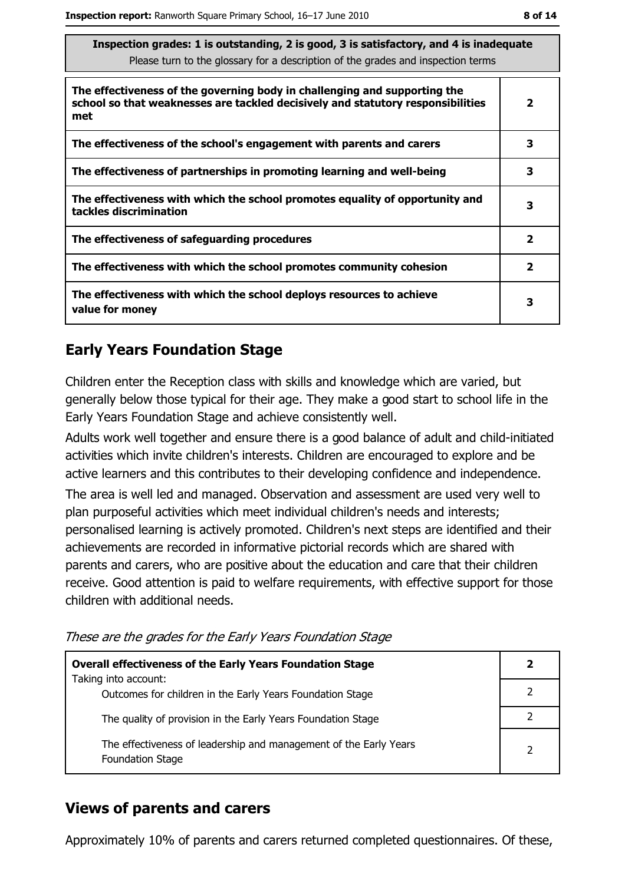$\overline{\mathbf{3}}$ 

 $\overline{\mathbf{3}}$ 

 $\overline{2}$ 

 $\overline{2}$ 

3

| Inspection grades: 1 is outstanding, 2 is good, 3 is satisfactory, and 4 is inadequate<br>Please turn to the glossary for a description of the grades and inspection terms |   |  |
|----------------------------------------------------------------------------------------------------------------------------------------------------------------------------|---|--|
| The effectiveness of the governing body in challenging and supporting the<br>school so that weaknesses are tackled decisively and statutory responsibilities<br>met        | 2 |  |
| The effectiveness of the school's engagement with parents and carers                                                                                                       |   |  |

The effectiveness of partnerships in promoting learning and well-being The effectiveness with which the school promotes equality of opportunity and

tackles discrimination

The effectiveness of safeguarding procedures

The effectiveness with which the school promotes community cohesion

The effectiveness with which the school deploys resources to achieve value for monev

## **Early Years Foundation Stage**

Children enter the Reception class with skills and knowledge which are varied, but generally below those typical for their age. They make a good start to school life in the Early Years Foundation Stage and achieve consistently well.

Adults work well together and ensure there is a good balance of adult and child-initiated activities which invite children's interests. Children are encouraged to explore and be active learners and this contributes to their developing confidence and independence.

The area is well led and managed. Observation and assessment are used very well to plan purposeful activities which meet individual children's needs and interests; personalised learning is actively promoted. Children's next steps are identified and their achievements are recorded in informative pictorial records which are shared with parents and carers, who are positive about the education and care that their children receive. Good attention is paid to welfare requirements, with effective support for those children with additional needs.

These are the grades for the Early Years Foundation Stage

| <b>Overall effectiveness of the Early Years Foundation Stage</b><br>Taking into account:     | $\mathbf{2}$ |
|----------------------------------------------------------------------------------------------|--------------|
|                                                                                              |              |
| Outcomes for children in the Early Years Foundation Stage                                    |              |
| The quality of provision in the Early Years Foundation Stage                                 |              |
|                                                                                              |              |
| The effectiveness of leadership and management of the Early Years<br><b>Foundation Stage</b> |              |

## **Views of parents and carers**

Approximately 10% of parents and carers returned completed questionnaires. Of these,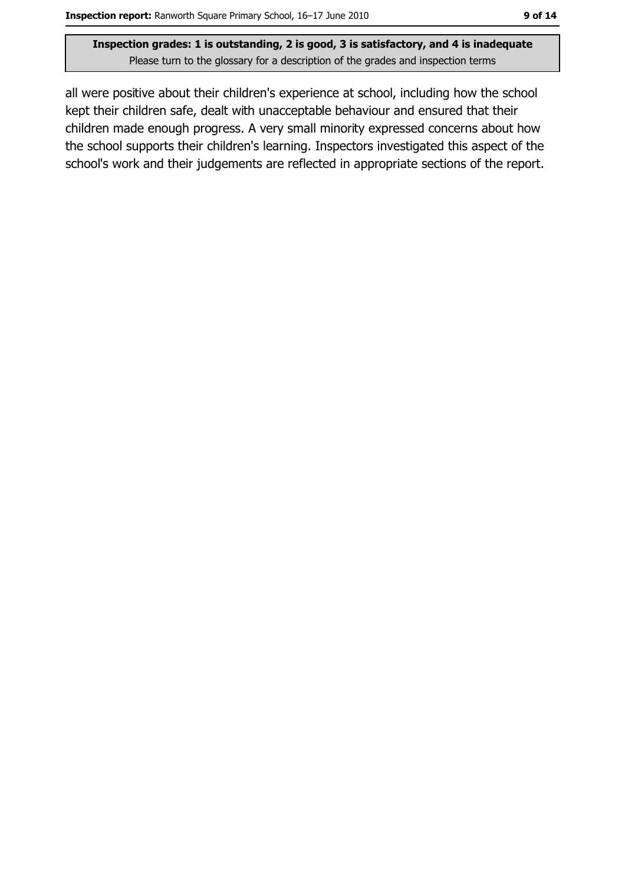all were positive about their children's experience at school, including how the school kept their children safe, dealt with unacceptable behaviour and ensured that their children made enough progress. A very small minority expressed concerns about how the school supports their children's learning. Inspectors investigated this aspect of the school's work and their judgements are reflected in appropriate sections of the report.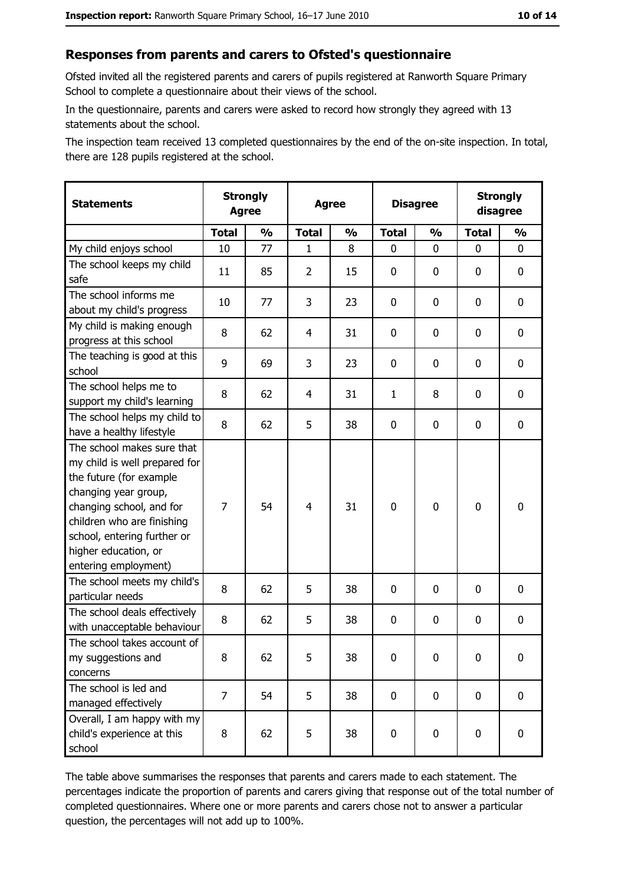#### Responses from parents and carers to Ofsted's questionnaire

Ofsted invited all the registered parents and carers of pupils registered at Ranworth Square Primary School to complete a questionnaire about their views of the school.

In the questionnaire, parents and carers were asked to record how strongly they agreed with 13 statements about the school.

The inspection team received 13 completed questionnaires by the end of the on-site inspection. In total, there are 128 pupils registered at the school.

| <b>Statements</b>                                                                                                                                                                                                                                       | <b>Strongly</b><br><b>Agree</b> |               |                | <b>Agree</b>  | <b>Disagree</b> |               |              | <b>Strongly</b><br>disagree |
|---------------------------------------------------------------------------------------------------------------------------------------------------------------------------------------------------------------------------------------------------------|---------------------------------|---------------|----------------|---------------|-----------------|---------------|--------------|-----------------------------|
|                                                                                                                                                                                                                                                         | <b>Total</b>                    | $\frac{0}{0}$ | <b>Total</b>   | $\frac{0}{0}$ | <b>Total</b>    | $\frac{0}{0}$ | <b>Total</b> | $\frac{0}{0}$               |
| My child enjoys school                                                                                                                                                                                                                                  | 10                              | 77            | $\mathbf{1}$   | 8             | $\mathbf{0}$    | $\mathbf{0}$  | $\mathbf{0}$ | 0                           |
| The school keeps my child<br>safe                                                                                                                                                                                                                       | 11                              | 85            | $\overline{2}$ | 15            | $\mathbf 0$     | 0             | 0            | $\mathbf 0$                 |
| The school informs me<br>about my child's progress                                                                                                                                                                                                      | 10                              | 77            | 3              | 23            | 0               | 0             | 0            | 0                           |
| My child is making enough<br>progress at this school                                                                                                                                                                                                    | 8                               | 62            | 4              | 31            | $\mathbf 0$     | 0             | 0            | 0                           |
| The teaching is good at this<br>school                                                                                                                                                                                                                  | 9                               | 69            | 3              | 23            | $\mathbf 0$     | 0             | 0            | 0                           |
| The school helps me to<br>support my child's learning                                                                                                                                                                                                   | 8                               | 62            | 4              | 31            | $\mathbf{1}$    | 8             | 0            | $\mathbf 0$                 |
| The school helps my child to<br>have a healthy lifestyle                                                                                                                                                                                                | 8                               | 62            | 5              | 38            | $\mathbf 0$     | 0             | 0            | $\mathbf 0$                 |
| The school makes sure that<br>my child is well prepared for<br>the future (for example<br>changing year group,<br>changing school, and for<br>children who are finishing<br>school, entering further or<br>higher education, or<br>entering employment) | $\overline{7}$                  | 54            | $\overline{4}$ | 31            | $\mathbf 0$     | 0             | $\mathbf 0$  | $\mathbf 0$                 |
| The school meets my child's<br>particular needs                                                                                                                                                                                                         | 8                               | 62            | 5              | 38            | $\mathbf 0$     | 0             | 0            | $\mathbf 0$                 |
| The school deals effectively<br>with unacceptable behaviour                                                                                                                                                                                             | 8                               | 62            | 5              | 38            | $\mathbf 0$     | 0             | 0            | $\mathbf 0$                 |
| The school takes account of<br>my suggestions and<br>concerns                                                                                                                                                                                           | 8                               | 62            | 5              | 38            | $\mathbf 0$     | 0             | 0            | $\bf{0}$                    |
| The school is led and<br>managed effectively                                                                                                                                                                                                            | $\overline{7}$                  | 54            | 5              | 38            | $\mathbf 0$     | 0             | $\mathbf 0$  | 0                           |
| Overall, I am happy with my<br>child's experience at this<br>school                                                                                                                                                                                     | 8                               | 62            | 5              | 38            | $\pmb{0}$       | $\pmb{0}$     | $\mathbf 0$  | 0                           |

The table above summarises the responses that parents and carers made to each statement. The percentages indicate the proportion of parents and carers giving that response out of the total number of completed questionnaires. Where one or more parents and carers chose not to answer a particular question, the percentages will not add up to 100%.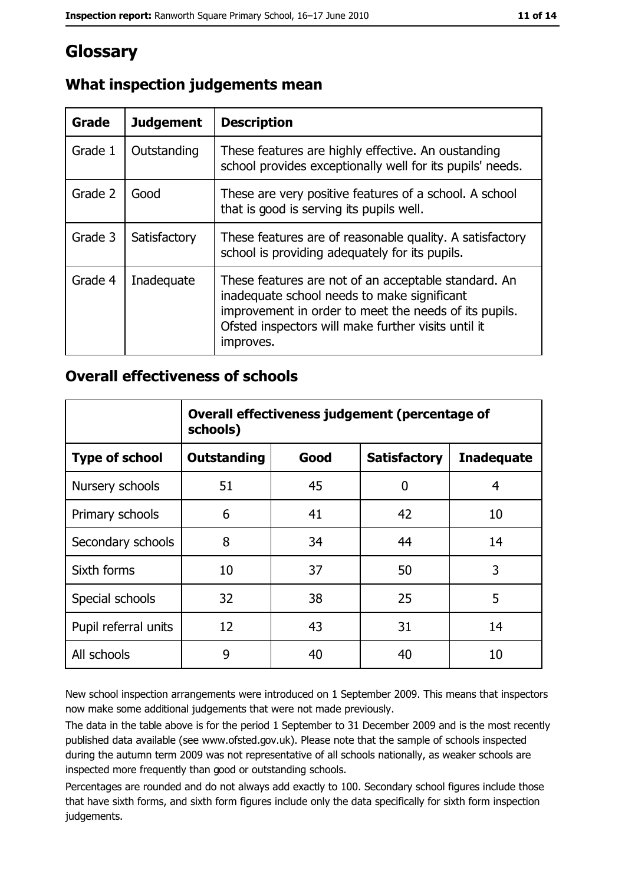# Glossary

| Grade   | <b>Judgement</b> | <b>Description</b>                                                                                                                                                                                                               |
|---------|------------------|----------------------------------------------------------------------------------------------------------------------------------------------------------------------------------------------------------------------------------|
| Grade 1 | Outstanding      | These features are highly effective. An oustanding<br>school provides exceptionally well for its pupils' needs.                                                                                                                  |
| Grade 2 | Good             | These are very positive features of a school. A school<br>that is good is serving its pupils well.                                                                                                                               |
| Grade 3 | Satisfactory     | These features are of reasonable quality. A satisfactory<br>school is providing adequately for its pupils.                                                                                                                       |
| Grade 4 | Inadequate       | These features are not of an acceptable standard. An<br>inadequate school needs to make significant<br>improvement in order to meet the needs of its pupils.<br>Ofsted inspectors will make further visits until it<br>improves. |

## What inspection judgements mean

### **Overall effectiveness of schools**

|                       | Overall effectiveness judgement (percentage of<br>schools) |      |                     |                   |  |
|-----------------------|------------------------------------------------------------|------|---------------------|-------------------|--|
| <b>Type of school</b> | <b>Outstanding</b>                                         | Good | <b>Satisfactory</b> | <b>Inadequate</b> |  |
| Nursery schools       | 51                                                         | 45   | 0                   | 4                 |  |
| Primary schools       | 6                                                          | 41   | 42                  | 10                |  |
| Secondary schools     | 8                                                          | 34   | 44                  | 14                |  |
| Sixth forms           | 10                                                         | 37   | 50                  | 3                 |  |
| Special schools       | 32                                                         | 38   | 25                  | 5                 |  |
| Pupil referral units  | 12                                                         | 43   | 31                  | 14                |  |
| All schools           | 9                                                          | 40   | 40                  | 10                |  |

New school inspection arrangements were introduced on 1 September 2009. This means that inspectors now make some additional judgements that were not made previously.

The data in the table above is for the period 1 September to 31 December 2009 and is the most recently published data available (see www.ofsted.gov.uk). Please note that the sample of schools inspected during the autumn term 2009 was not representative of all schools nationally, as weaker schools are inspected more frequently than good or outstanding schools.

Percentages are rounded and do not always add exactly to 100. Secondary school figures include those that have sixth forms, and sixth form figures include only the data specifically for sixth form inspection judgements.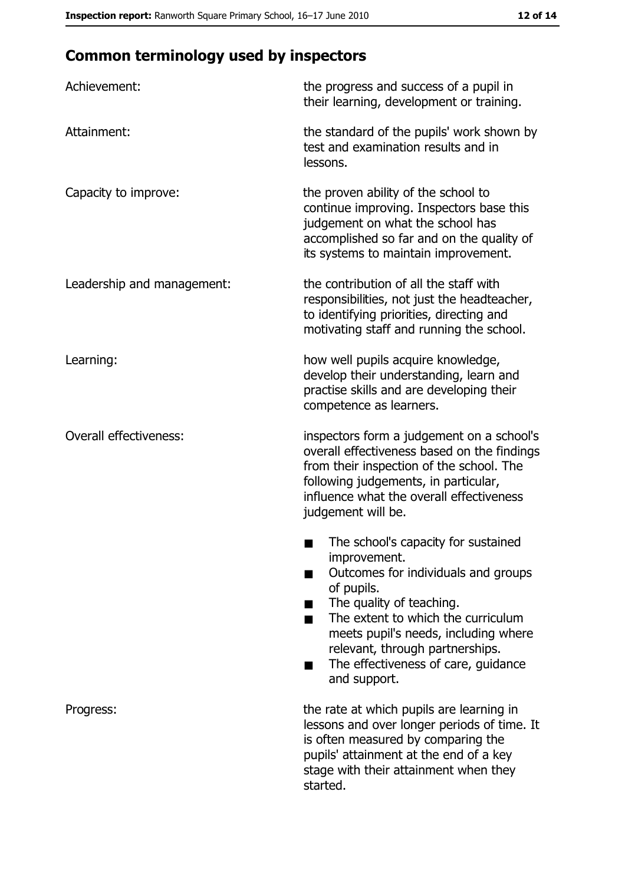# **Common terminology used by inspectors**

| Achievement:                  | the progress and success of a pupil in<br>their learning, development or training.                                                                                                                                                                                                                           |
|-------------------------------|--------------------------------------------------------------------------------------------------------------------------------------------------------------------------------------------------------------------------------------------------------------------------------------------------------------|
| Attainment:                   | the standard of the pupils' work shown by<br>test and examination results and in<br>lessons.                                                                                                                                                                                                                 |
| Capacity to improve:          | the proven ability of the school to<br>continue improving. Inspectors base this<br>judgement on what the school has<br>accomplished so far and on the quality of<br>its systems to maintain improvement.                                                                                                     |
| Leadership and management:    | the contribution of all the staff with<br>responsibilities, not just the headteacher,<br>to identifying priorities, directing and<br>motivating staff and running the school.                                                                                                                                |
| Learning:                     | how well pupils acquire knowledge,<br>develop their understanding, learn and<br>practise skills and are developing their<br>competence as learners.                                                                                                                                                          |
| <b>Overall effectiveness:</b> | inspectors form a judgement on a school's<br>overall effectiveness based on the findings<br>from their inspection of the school. The<br>following judgements, in particular,<br>influence what the overall effectiveness<br>judgement will be.                                                               |
|                               | The school's capacity for sustained<br>improvement.<br>Outcomes for individuals and groups<br>of pupils.<br>The quality of teaching.<br>The extent to which the curriculum<br>meets pupil's needs, including where<br>relevant, through partnerships.<br>The effectiveness of care, guidance<br>and support. |
| Progress:                     | the rate at which pupils are learning in<br>lessons and over longer periods of time. It<br>is often measured by comparing the<br>pupils' attainment at the end of a key<br>stage with their attainment when they<br>started.                                                                                 |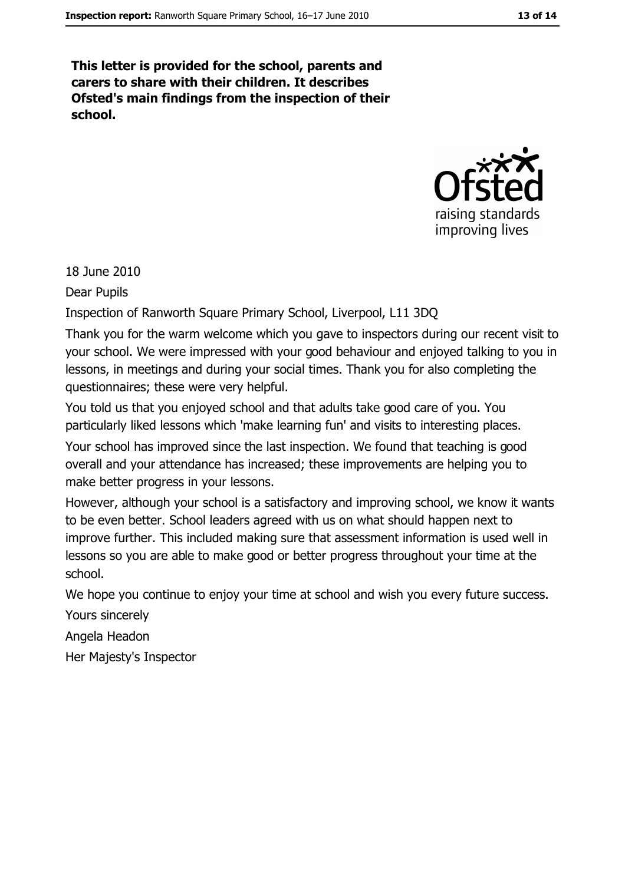This letter is provided for the school, parents and carers to share with their children. It describes Ofsted's main findings from the inspection of their school.



18 June 2010

**Dear Pupils** 

Inspection of Ranworth Square Primary School, Liverpool, L11 3DQ

Thank you for the warm welcome which you gave to inspectors during our recent visit to your school. We were impressed with your good behaviour and enjoyed talking to you in lessons, in meetings and during your social times. Thank you for also completing the questionnaires; these were very helpful.

You told us that you enjoyed school and that adults take good care of you. You particularly liked lessons which 'make learning fun' and visits to interesting places.

Your school has improved since the last inspection. We found that teaching is good overall and your attendance has increased; these improvements are helping you to make better progress in your lessons.

However, although your school is a satisfactory and improving school, we know it wants to be even better. School leaders agreed with us on what should happen next to improve further. This included making sure that assessment information is used well in lessons so you are able to make good or better progress throughout your time at the school.

We hope you continue to enjoy your time at school and wish you every future success.

Yours sincerely

Angela Headon

Her Majesty's Inspector